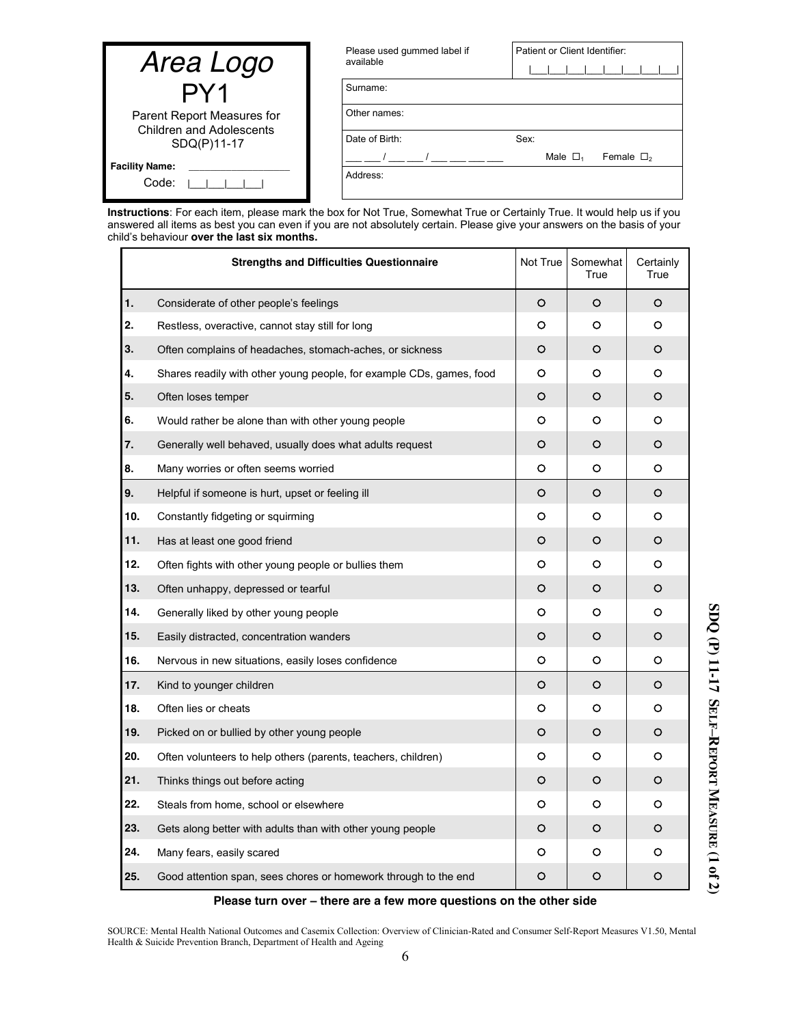| Area Logo                                                     | Please used gummed label if<br>available | Patient or Client Identifier:             |
|---------------------------------------------------------------|------------------------------------------|-------------------------------------------|
| PY1                                                           | Surname:                                 |                                           |
| Parent Report Measures for<br><b>Children and Adolescents</b> | Other names:                             |                                           |
| SDQ(P)11-17                                                   | Date of Birth:                           | Sex:                                      |
| <b>Facility Name:</b>                                         |                                          | Male $\Box$ <sub>1</sub><br>Female $\Box$ |
| Code:                                                         | Address:                                 |                                           |

**Instructions**: For each item, please mark the box for Not True, Somewhat True or Certainly True. It would help us if you answered all items as best you can even if you are not absolutely certain. Please give your answers on the basis of your child"s behaviour **over the last six months.**

|     | <b>Strengths and Difficulties Questionnaire</b>                      | Not True | Somewhat<br>True | Certainly<br>True |
|-----|----------------------------------------------------------------------|----------|------------------|-------------------|
| 1.  | Considerate of other people's feelings                               | O        | $\circ$          | O                 |
| 2.  | Restless, overactive, cannot stay still for long                     | O        | O                | O                 |
| 3.  | Often complains of headaches, stomach-aches, or sickness             | O        | O                | O                 |
| 4.  | Shares readily with other young people, for example CDs, games, food | O        | O                | O                 |
| 5.  | Often loses temper                                                   | O        | O                | O                 |
| 6.  | Would rather be alone than with other young people                   | o        | O                | O                 |
| 7.  | Generally well behaved, usually does what adults request             | O        | O                | O                 |
| 8.  | Many worries or often seems worried                                  | O        | O                | O                 |
| 9.  | Helpful if someone is hurt, upset or feeling ill                     | O        | $\circ$          | O                 |
| 10. | Constantly fidgeting or squirming                                    | O        | O                | O                 |
| 11. | Has at least one good friend                                         | O        | O                | O                 |
| 12. | Often fights with other young people or bullies them                 | O        | O                | O                 |
| 13. | Often unhappy, depressed or tearful                                  | O        | O                | O                 |
| 14. | Generally liked by other young people                                | O        | O                | O                 |
| 15. | Easily distracted, concentration wanders                             | O        | O                | O                 |
| 16. | Nervous in new situations, easily loses confidence                   | о        | O                | O                 |
| 17. | Kind to younger children                                             | O        | O                | O                 |
| 18. | Often lies or cheats                                                 | O        | O                | O                 |
| 19. | Picked on or bullied by other young people                           | O        | O                | O                 |
| 20. | Often volunteers to help others (parents, teachers, children)        | O        | O                | O                 |
| 21. | Thinks things out before acting                                      | O        | O                | O                 |
| 22. | Steals from home, school or elsewhere                                | O        | O                | O                 |
| 23. | Gets along better with adults than with other young people           | O        | O                | O                 |
| 24. | Many fears, easily scared                                            | O        | O                | O                 |
| 25. | Good attention span, sees chores or homework through to the end      | O        | O                | O                 |

## **Please turn over – there are a few more questions on the other side**

SOURCE: Mental Health National Outcomes and Casemix Collection: Overview of Clinician-Rated and Consumer Self-Report Measures V1.50, Mental Health & Suicide Prevention Branch, Department of Health and Ageing